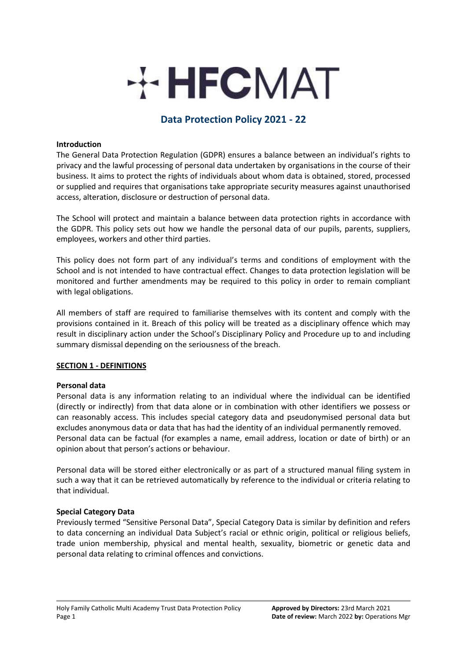# **HECMAT**

# **Data Protection Policy 2021 - 22**

# **Introduction**

The General Data Protection Regulation (GDPR) ensures a balance between an individual's rights to privacy and the lawful processing of personal data undertaken by organisations in the course of their business. It aims to protect the rights of individuals about whom data is obtained, stored, processed or supplied and requires that organisations take appropriate security measures against unauthorised access, alteration, disclosure or destruction of personal data.

The School will protect and maintain a balance between data protection rights in accordance with the GDPR. This policy sets out how we handle the personal data of our pupils, parents, suppliers, employees, workers and other third parties.

This policy does not form part of any individual's terms and conditions of employment with the School and is not intended to have contractual effect. Changes to data protection legislation will be monitored and further amendments may be required to this policy in order to remain compliant with legal obligations.

All members of staff are required to familiarise themselves with its content and comply with the provisions contained in it. Breach of this policy will be treated as a disciplinary offence which may result in disciplinary action under the School's Disciplinary Policy and Procedure up to and including summary dismissal depending on the seriousness of the breach.

### **SECTION 1 - DEFINITIONS**

# **Personal data**

Personal data is any information relating to an individual where the individual can be identified (directly or indirectly) from that data alone or in combination with other identifiers we possess or can reasonably access. This includes special category data and pseudonymised personal data but excludes anonymous data or data that has had the identity of an individual permanently removed. Personal data can be factual (for examples a name, email address, location or date of birth) or an opinion about that person's actions or behaviour.

Personal data will be stored either electronically or as part of a structured manual filing system in such a way that it can be retrieved automatically by reference to the individual or criteria relating to that individual.

### **Special Category Data**

Previously termed "Sensitive Personal Data", Special Category Data is similar by definition and refers to data concerning an individual Data Subject's racial or ethnic origin, political or religious beliefs, trade union membership, physical and mental health, sexuality, biometric or genetic data and personal data relating to criminal offences and convictions.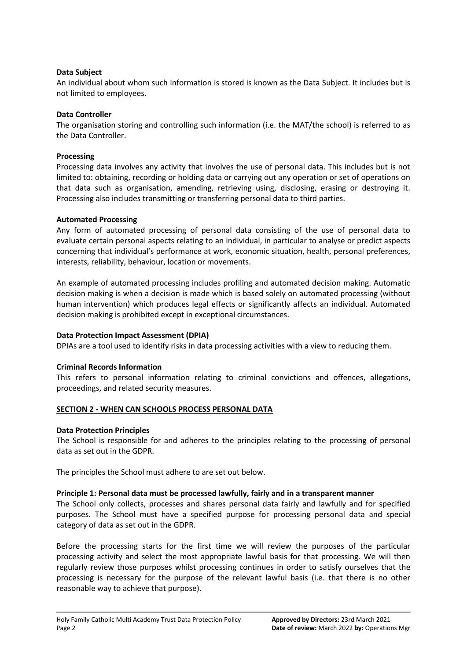# **Data Subject**

An individual about whom such information is stored is known as the Data Subject. It includes but is not limited to employees.

# **Data Controller**

The organisation storing and controlling such information (i.e. the MAT/the school) is referred to as the Data Controller.

## **Processing**

Processing data involves any activity that involves the use of personal data. This includes but is not limited to: obtaining, recording or holding data or carrying out any operation or set of operations on that data such as organisation, amending, retrieving using, disclosing, erasing or destroying it. Processing also includes transmitting or transferring personal data to third parties.

## **Automated Processing**

Any form of automated processing of personal data consisting of the use of personal data to evaluate certain personal aspects relating to an individual, in particular to analyse or predict aspects concerning that individual's performance at work, economic situation, health, personal preferences, interests, reliability, behaviour, location or movements.

An example of automated processing includes profiling and automated decision making. Automatic decision making is when a decision is made which is based solely on automated processing (without human intervention) which produces legal effects or significantly affects an individual. Automated decision making is prohibited except in exceptional circumstances.

# **Data Protection Impact Assessment (DPIA)**

DPIAs are a tool used to identify risks in data processing activities with a view to reducing them.

# **Criminal Records Information**

This refers to personal information relating to criminal convictions and offences, allegations, proceedings, and related security measures.

# **SECTION 2 - WHEN CAN SCHOOLS PROCESS PERSONAL DATA**

### **Data Protection Principles**

The School is responsible for and adheres to the principles relating to the processing of personal data as set out in the GDPR.

The principles the School must adhere to are set out below.

### **Principle 1: Personal data must be processed lawfully, fairly and in a transparent manner**

The School only collects, processes and shares personal data fairly and lawfully and for specified purposes. The School must have a specified purpose for processing personal data and special category of data as set out in the GDPR.

Before the processing starts for the first time we will review the purposes of the particular processing activity and select the most appropriate lawful basis for that processing. We will then regularly review those purposes whilst processing continues in order to satisfy ourselves that the processing is necessary for the purpose of the relevant lawful basis (i.e. that there is no other reasonable way to achieve that purpose).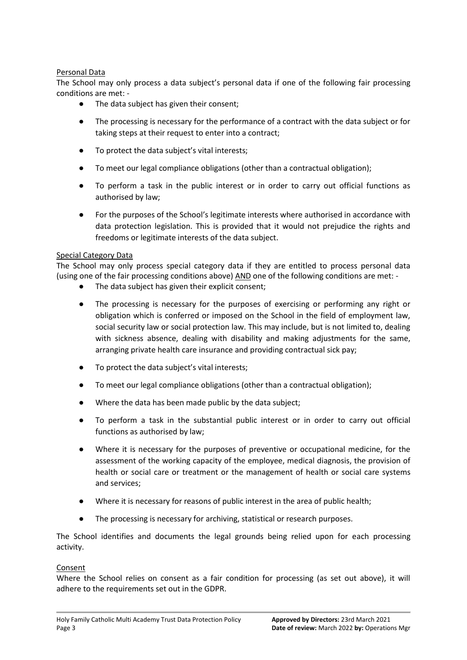# Personal Data

The School may only process a data subject's personal data if one of the following fair processing conditions are met: -

- The data subject has given their consent;
- The processing is necessary for the performance of a contract with the data subject or for taking steps at their request to enter into a contract;
- To protect the data subject's vital interests;
- To meet our legal compliance obligations (other than a contractual obligation);
- To perform a task in the public interest or in order to carry out official functions as authorised by law;
- For the purposes of the School's legitimate interests where authorised in accordance with data protection legislation. This is provided that it would not prejudice the rights and freedoms or legitimate interests of the data subject.

# Special Category Data

The School may only process special category data if they are entitled to process personal data (using one of the fair processing conditions above) AND one of the following conditions are met: -

- The data subject has given their explicit consent;
- The processing is necessary for the purposes of exercising or performing any right or obligation which is conferred or imposed on the School in the field of employment law, social security law or social protection law. This may include, but is not limited to, dealing with sickness absence, dealing with disability and making adjustments for the same, arranging private health care insurance and providing contractual sick pay;
- To protect the data subject's vital interests;
- To meet our legal compliance obligations (other than a contractual obligation);
- Where the data has been made public by the data subject;
- To perform a task in the substantial public interest or in order to carry out official functions as authorised by law;
- Where it is necessary for the purposes of preventive or occupational medicine, for the assessment of the working capacity of the employee, medical diagnosis, the provision of health or social care or treatment or the management of health or social care systems and services;
- Where it is necessary for reasons of public interest in the area of public health;
- The processing is necessary for archiving, statistical or research purposes.

The School identifies and documents the legal grounds being relied upon for each processing activity.

# Consent

Where the School relies on consent as a fair condition for processing (as set out above), it will adhere to the requirements set out in the GDPR.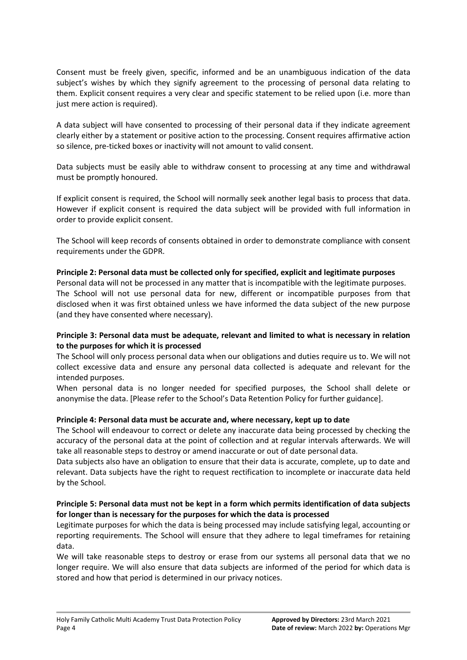Consent must be freely given, specific, informed and be an unambiguous indication of the data subject's wishes by which they signify agreement to the processing of personal data relating to them. Explicit consent requires a very clear and specific statement to be relied upon (i.e. more than just mere action is required).

A data subject will have consented to processing of their personal data if they indicate agreement clearly either by a statement or positive action to the processing. Consent requires affirmative action so silence, pre-ticked boxes or inactivity will not amount to valid consent.

Data subjects must be easily able to withdraw consent to processing at any time and withdrawal must be promptly honoured.

If explicit consent is required, the School will normally seek another legal basis to process that data. However if explicit consent is required the data subject will be provided with full information in order to provide explicit consent.

The School will keep records of consents obtained in order to demonstrate compliance with consent requirements under the GDPR.

## **Principle 2: Personal data must be collected only for specified, explicit and legitimate purposes**

Personal data will not be processed in any matter that is incompatible with the legitimate purposes. The School will not use personal data for new, different or incompatible purposes from that disclosed when it was first obtained unless we have informed the data subject of the new purpose (and they have consented where necessary).

# **Principle 3: Personal data must be adequate, relevant and limited to what is necessary in relation to the purposes for which it is processed**

The School will only process personal data when our obligations and duties require us to. We will not collect excessive data and ensure any personal data collected is adequate and relevant for the intended purposes.

When personal data is no longer needed for specified purposes, the School shall delete or anonymise the data. [Please refer to the School's Data Retention Policy for further guidance].

### **Principle 4: Personal data must be accurate and, where necessary, kept up to date**

The School will endeavour to correct or delete any inaccurate data being processed by checking the accuracy of the personal data at the point of collection and at regular intervals afterwards. We will take all reasonable steps to destroy or amend inaccurate or out of date personal data.

Data subjects also have an obligation to ensure that their data is accurate, complete, up to date and relevant. Data subjects have the right to request rectification to incomplete or inaccurate data held by the School.

# **Principle 5: Personal data must not be kept in a form which permits identification of data subjects for longer than is necessary for the purposes for which the data is processed**

Legitimate purposes for which the data is being processed may include satisfying legal, accounting or reporting requirements. The School will ensure that they adhere to legal timeframes for retaining data.

We will take reasonable steps to destroy or erase from our systems all personal data that we no longer require. We will also ensure that data subjects are informed of the period for which data is stored and how that period is determined in our privacy notices.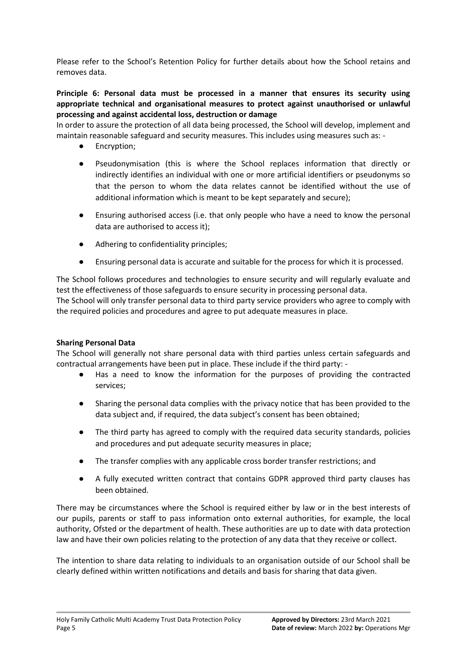Please refer to the School's Retention Policy for further details about how the School retains and removes data.

# **Principle 6: Personal data must be processed in a manner that ensures its security using appropriate technical and organisational measures to protect against unauthorised or unlawful processing and against accidental loss, destruction or damage**

In order to assure the protection of all data being processed, the School will develop, implement and maintain reasonable safeguard and security measures. This includes using measures such as: -

- Encryption;
- Pseudonymisation (this is where the School replaces information that directly or indirectly identifies an individual with one or more artificial identifiers or pseudonyms so that the person to whom the data relates cannot be identified without the use of additional information which is meant to be kept separately and secure);
- Ensuring authorised access (i.e. that only people who have a need to know the personal data are authorised to access it);
- Adhering to confidentiality principles;
- Ensuring personal data is accurate and suitable for the process for which it is processed.

The School follows procedures and technologies to ensure security and will regularly evaluate and test the effectiveness of those safeguards to ensure security in processing personal data.

The School will only transfer personal data to third party service providers who agree to comply with the required policies and procedures and agree to put adequate measures in place.

# **Sharing Personal Data**

The School will generally not share personal data with third parties unless certain safeguards and contractual arrangements have been put in place. These include if the third party: -

- Has a need to know the information for the purposes of providing the contracted services;
- Sharing the personal data complies with the privacy notice that has been provided to the data subject and, if required, the data subject's consent has been obtained;
- The third party has agreed to comply with the required data security standards, policies and procedures and put adequate security measures in place;
- The transfer complies with any applicable cross border transfer restrictions; and
- A fully executed written contract that contains GDPR approved third party clauses has been obtained.

There may be circumstances where the School is required either by law or in the best interests of our pupils, parents or staff to pass information onto external authorities, for example, the local authority, Ofsted or the department of health. These authorities are up to date with data protection law and have their own policies relating to the protection of any data that they receive or collect.

The intention to share data relating to individuals to an organisation outside of our School shall be clearly defined within written notifications and details and basis for sharing that data given.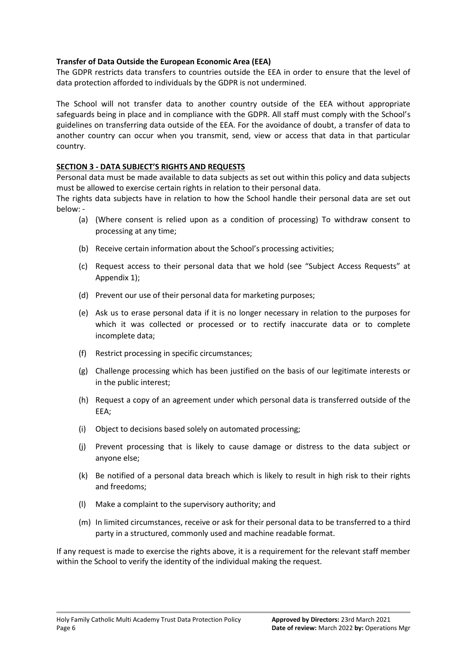# **Transfer of Data Outside the European Economic Area (EEA)**

The GDPR restricts data transfers to countries outside the EEA in order to ensure that the level of data protection afforded to individuals by the GDPR is not undermined.

The School will not transfer data to another country outside of the EEA without appropriate safeguards being in place and in compliance with the GDPR. All staff must comply with the School's guidelines on transferring data outside of the EEA. For the avoidance of doubt, a transfer of data to another country can occur when you transmit, send, view or access that data in that particular country.

# **SECTION 3 - DATA SUBJECT'S RIGHTS AND REQUESTS**

Personal data must be made available to data subjects as set out within this policy and data subjects must be allowed to exercise certain rights in relation to their personal data.

The rights data subjects have in relation to how the School handle their personal data are set out below: -

- (a) (Where consent is relied upon as a condition of processing) To withdraw consent to processing at any time;
- (b) Receive certain information about the School's processing activities;
- (c) Request access to their personal data that we hold (see "Subject Access Requests" at Appendix 1);
- (d) Prevent our use of their personal data for marketing purposes;
- (e) Ask us to erase personal data if it is no longer necessary in relation to the purposes for which it was collected or processed or to rectify inaccurate data or to complete incomplete data;
- (f) Restrict processing in specific circumstances;
- (g) Challenge processing which has been justified on the basis of our legitimate interests or in the public interest;
- (h) Request a copy of an agreement under which personal data is transferred outside of the EEA;
- (i) Object to decisions based solely on automated processing;
- (j) Prevent processing that is likely to cause damage or distress to the data subject or anyone else;
- (k) Be notified of a personal data breach which is likely to result in high risk to their rights and freedoms;
- (l) Make a complaint to the supervisory authority; and
- (m) In limited circumstances, receive or ask for their personal data to be transferred to a third party in a structured, commonly used and machine readable format.

If any request is made to exercise the rights above, it is a requirement for the relevant staff member within the School to verify the identity of the individual making the request.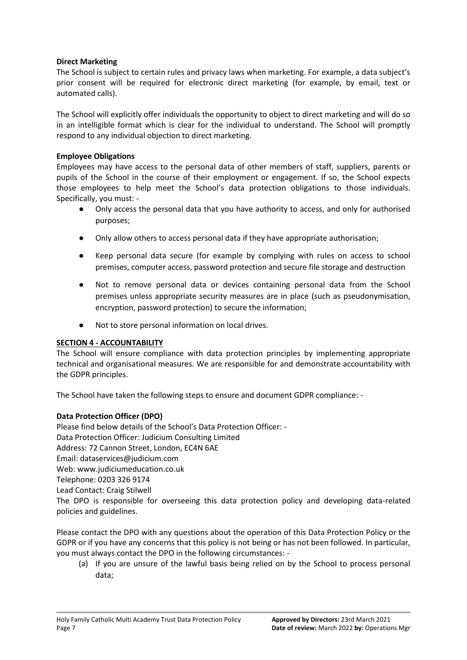# **Direct Marketing**

The School is subject to certain rules and privacy laws when marketing. For example, a data subject's prior consent will be required for electronic direct marketing (for example, by email, text or automated calls).

The School will explicitly offer individuals the opportunity to object to direct marketing and will do so in an intelligible format which is clear for the individual to understand. The School will promptly respond to any individual objection to direct marketing.

# **Employee Obligations**

Employees may have access to the personal data of other members of staff, suppliers, parents or pupils of the School in the course of their employment or engagement. If so, the School expects those employees to help meet the School's data protection obligations to those individuals. Specifically, you must: -

- Only access the personal data that you have authority to access, and only for authorised purposes;
- Only allow others to access personal data if they have appropriate authorisation;
- Keep personal data secure (for example by complying with rules on access to school premises, computer access, password protection and secure file storage and destruction
- Not to remove personal data or devices containing personal data from the School premises unless appropriate security measures are in place (such as pseudonymisation, encryption, password protection) to secure the information;
- Not to store personal information on local drives.

# **SECTION 4 - ACCOUNTABILITY**

The School will ensure compliance with data protection principles by implementing appropriate technical and organisational measures. We are responsible for and demonstrate accountability with the GDPR principles.

The School have taken the following steps to ensure and document GDPR compliance: -

# **Data Protection Officer (DPO)**

Please find below details of the School's Data Protection Officer: - Data Protection Officer: Judicium Consulting Limited Address: 72 Cannon Street, London, EC4N 6AE Email: [dataservices@judicium.com](mailto:dataservices@judicium.com) Web: www.judiciumeducation.co.uk Telephone: 0203 326 9174 Lead Contact: Craig Stilwell The DPO is responsible for overseeing this data protection policy and developing data-related policies and guidelines.

Please contact the DPO with any questions about the operation of this Data Protection Policy or the GDPR or if you have any concerns that this policy is not being or has not been followed. In particular, you must always contact the DPO in the following circumstances: -

(a) If you are unsure of the lawful basis being relied on by the School to process personal data;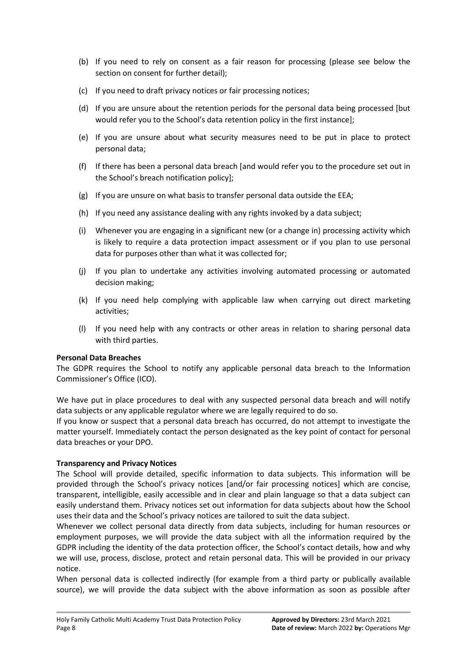- (b) If you need to rely on consent as a fair reason for processing (please see below the section on consent for further detail);
- (c) If you need to draft privacy notices or fair processing notices;
- (d) If you are unsure about the retention periods for the personal data being processed [but would refer you to the School's data retention policy in the first instance];
- (e) If you are unsure about what security measures need to be put in place to protect personal data;
- (f) If there has been a personal data breach [and would refer you to the procedure set out in the School's breach notification policy];
- (g) If you are unsure on what basis to transfer personal data outside the EEA;
- (h) If you need any assistance dealing with any rights invoked by a data subject;
- (i) Whenever you are engaging in a significant new (or a change in) processing activity which is likely to require a data protection impact assessment or if you plan to use personal data for purposes other than what it was collected for;
- (j) If you plan to undertake any activities involving automated processing or automated decision making;
- (k) If you need help complying with applicable law when carrying out direct marketing activities;
- (l) If you need help with any contracts or other areas in relation to sharing personal data with third parties.

# **Personal Data Breaches**

The GDPR requires the School to notify any applicable personal data breach to the Information Commissioner's Office (ICO).

We have put in place procedures to deal with any suspected personal data breach and will notify data subjects or any applicable regulator where we are legally required to do so.

If you know or suspect that a personal data breach has occurred, do not attempt to investigate the matter yourself. Immediately contact the person designated as the key point of contact for personal data breaches or your DPO.

# **Transparency and Privacy Notices**

The School will provide detailed, specific information to data subjects. This information will be provided through the School's privacy notices [and/or fair processing notices] which are concise, transparent, intelligible, easily accessible and in clear and plain language so that a data subject can easily understand them. Privacy notices set out information for data subjects about how the School uses their data and the School's privacy notices are tailored to suit the data subject.

Whenever we collect personal data directly from data subjects, including for human resources or employment purposes, we will provide the data subject with all the information required by the GDPR including the identity of the data protection officer, the School's contact details, how and why we will use, process, disclose, protect and retain personal data. This will be provided in our privacy notice.

When personal data is collected indirectly (for example from a third party or publically available source), we will provide the data subject with the above information as soon as possible after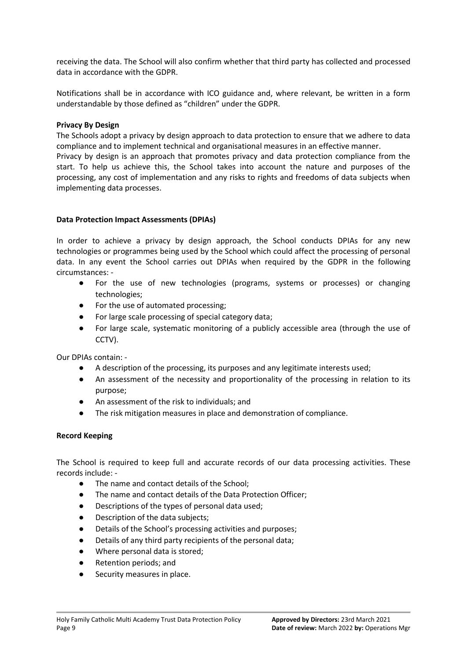receiving the data. The School will also confirm whether that third party has collected and processed data in accordance with the GDPR.

Notifications shall be in accordance with ICO guidance and, where relevant, be written in a form understandable by those defined as "children" under the GDPR.

## **Privacy By Design**

The Schools adopt a privacy by design approach to data protection to ensure that we adhere to data compliance and to implement technical and organisational measures in an effective manner.

Privacy by design is an approach that promotes privacy and data protection compliance from the start. To help us achieve this, the School takes into account the nature and purposes of the processing, any cost of implementation and any risks to rights and freedoms of data subjects when implementing data processes.

## **Data Protection Impact Assessments (DPIAs)**

In order to achieve a privacy by design approach, the School conducts DPIAs for any new technologies or programmes being used by the School which could affect the processing of personal data. In any event the School carries out DPIAs when required by the GDPR in the following circumstances: -

- For the use of new technologies (programs, systems or processes) or changing technologies;
- For the use of automated processing;
- For large scale processing of special category data;
- For large scale, systematic monitoring of a publicly accessible area (through the use of CCTV).

Our DPIAs contain: -

- A description of the processing, its purposes and any legitimate interests used;
- An assessment of the necessity and proportionality of the processing in relation to its purpose;
- An assessment of the risk to individuals; and
- The risk mitigation measures in place and demonstration of compliance.

### **Record Keeping**

The School is required to keep full and accurate records of our data processing activities. These records include: -

- The name and contact details of the School:
- The name and contact details of the Data Protection Officer;
- Descriptions of the types of personal data used;
- Description of the data subjects;
- Details of the School's processing activities and purposes;
- Details of any third party recipients of the personal data;
- Where personal data is stored;
- Retention periods; and
- Security measures in place.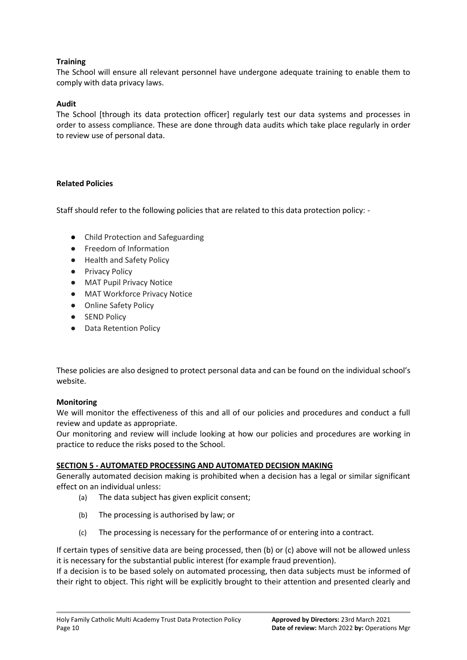# **Training**

The School will ensure all relevant personnel have undergone adequate training to enable them to comply with data privacy laws.

# **Audit**

The School [through its data protection officer] regularly test our data systems and processes in order to assess compliance. These are done through data audits which take place regularly in order to review use of personal data.

# **Related Policies**

Staff should refer to the following policies that are related to this data protection policy: -

- Child Protection and Safeguarding
- Freedom of Information
- Health and Safety Policy
- Privacy Policy
- MAT Pupil Privacy Notice
- MAT Workforce Privacy Notice
- Online Safety Policy
- SEND Policy
- Data Retention Policy

These policies are also designed to protect personal data and can be found on the individual school's website.

# **Monitoring**

We will monitor the effectiveness of this and all of our policies and procedures and conduct a full review and update as appropriate.

Our monitoring and review will include looking at how our policies and procedures are working in practice to reduce the risks posed to the School.

# **SECTION 5 - AUTOMATED PROCESSING AND AUTOMATED DECISION MAKING**

Generally automated decision making is prohibited when a decision has a legal or similar significant effect on an individual unless:

- (a) The data subject has given explicit consent;
- (b) The processing is authorised by law; or
- (c) The processing is necessary for the performance of or entering into a contract.

If certain types of sensitive data are being processed, then (b) or (c) above will not be allowed unless it is necessary for the substantial public interest (for example fraud prevention).

If a decision is to be based solely on automated processing, then data subjects must be informed of their right to object. This right will be explicitly brought to their attention and presented clearly and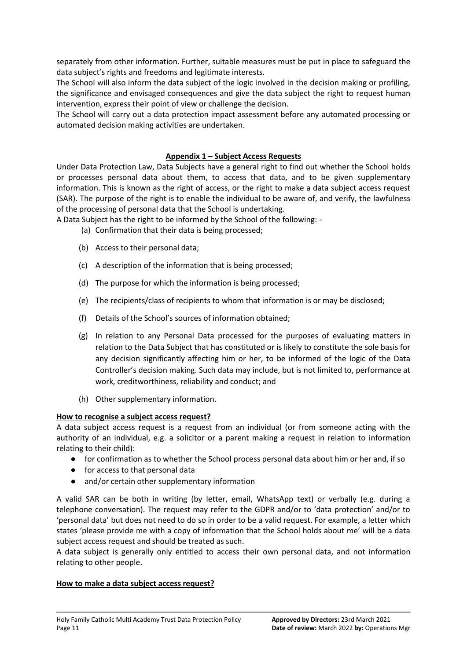separately from other information. Further, suitable measures must be put in place to safeguard the data subject's rights and freedoms and legitimate interests.

The School will also inform the data subject of the logic involved in the decision making or profiling, the significance and envisaged consequences and give the data subject the right to request human intervention, express their point of view or challenge the decision.

The School will carry out a data protection impact assessment before any automated processing or automated decision making activities are undertaken.

# **Appendix 1 – Subject Access Requests**

Under Data Protection Law, Data Subjects have a general right to find out whether the School holds or processes personal data about them, to access that data, and to be given supplementary information. This is known as the right of access, or the right to make a data subject access request (SAR). The purpose of the right is to enable the individual to be aware of, and verify, the lawfulness of the processing of personal data that the School is undertaking.

A Data Subject has the right to be informed by the School of the following: -

- (a) Confirmation that their data is being processed;
- (b) Access to their personal data;
- (c) A description of the information that is being processed;
- (d) The purpose for which the information is being processed;
- (e) The recipients/class of recipients to whom that information is or may be disclosed;
- (f) Details of the School's sources of information obtained;
- (g) In relation to any Personal Data processed for the purposes of evaluating matters in relation to the Data Subject that has constituted or is likely to constitute the sole basis for any decision significantly affecting him or her, to be informed of the logic of the Data Controller's decision making. Such data may include, but is not limited to, performance at work, creditworthiness, reliability and conduct; and
- (h) Other supplementary information.

# **How to recognise a subject access request?**

A data subject access request is a request from an individual (or from someone acting with the authority of an individual, e.g. a solicitor or a parent making a request in relation to information relating to their child):

- for confirmation as to whether the School process personal data about him or her and, if so
- for access to that personal data
- and/or certain other supplementary information

A valid SAR can be both in writing (by letter, email, WhatsApp text) or verbally (e.g. during a telephone conversation). The request may refer to the GDPR and/or to 'data protection' and/or to 'personal data' but does not need to do so in order to be a valid request. For example, a letter which states 'please provide me with a copy of information that the School holds about me' will be a data subject access request and should be treated as such.

A data subject is generally only entitled to access their own personal data, and not information relating to other people.

# **How to make a data subject access request?**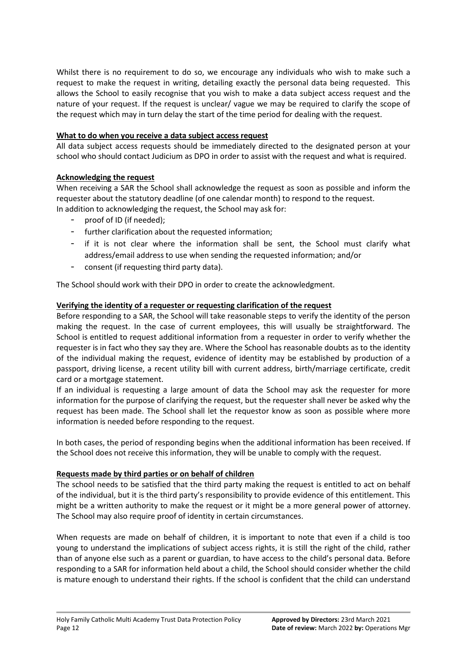Whilst there is no requirement to do so, we encourage any individuals who wish to make such a request to make the request in writing, detailing exactly the personal data being requested. This allows the School to easily recognise that you wish to make a data subject access request and the nature of your request. If the request is unclear/ vague we may be required to clarify the scope of the request which may in turn delay the start of the time period for dealing with the request.

# **What to do when you receive a data subject access request**

All data subject access requests should be immediately directed to the designated person at your school who should contact Judicium as DPO in order to assist with the request and what is required.

# **Acknowledging the request**

When receiving a SAR the School shall acknowledge the request as soon as possible and inform the requester about the statutory deadline (of one calendar month) to respond to the request. In addition to acknowledging the request, the School may ask for:

- proof of ID (if needed):
- further clarification about the requested information;
- if it is not clear where the information shall be sent, the School must clarify what address/email address to use when sending the requested information; and/or
- consent (if requesting third party data).

The School should work with their DPO in order to create the acknowledgment.

# **Verifying the identity of a requester or requesting clarification of the request**

Before responding to a SAR, the School will take reasonable steps to verify the identity of the person making the request. In the case of current employees, this will usually be straightforward. The School is entitled to request additional information from a requester in order to verify whether the requester is in fact who they say they are. Where the School has reasonable doubts as to the identity of the individual making the request, evidence of identity may be established by production of a passport, driving license, a recent utility bill with current address, birth/marriage certificate, credit card or a mortgage statement.

If an individual is requesting a large amount of data the School may ask the requester for more information for the purpose of clarifying the request, but the requester shall never be asked why the request has been made. The School shall let the requestor know as soon as possible where more information is needed before responding to the request.

In both cases, the period of responding begins when the additional information has been received. If the School does not receive this information, they will be unable to comply with the request.

# **Requests made by third parties or on behalf of children**

The school needs to be satisfied that the third party making the request is entitled to act on behalf of the individual, but it is the third party's responsibility to provide evidence of this entitlement. This might be a written authority to make the request or it might be a more general power of attorney. The School may also require proof of identity in certain circumstances.

When requests are made on behalf of children, it is important to note that even if a child is too young to understand the implications of subject access rights, it is still the right of the child, rather than of anyone else such as a parent or guardian, to have access to the child's personal data. Before responding to a SAR for information held about a child, the School should consider whether the child is mature enough to understand their rights. If the school is confident that the child can understand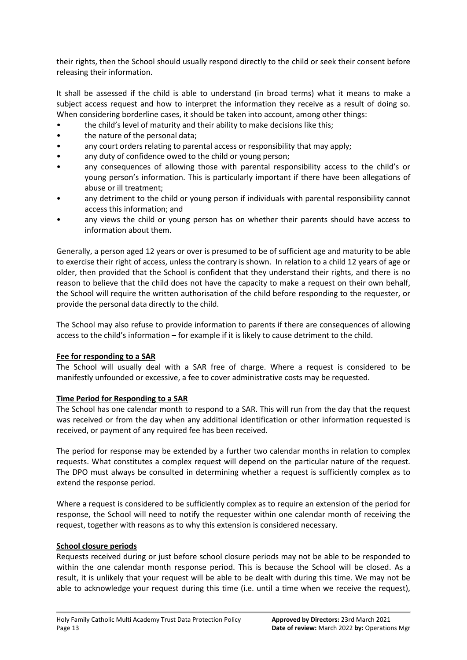their rights, then the School should usually respond directly to the child or seek their consent before releasing their information.

It shall be assessed if the child is able to understand (in broad terms) what it means to make a subject access request and how to interpret the information they receive as a result of doing so. When considering borderline cases, it should be taken into account, among other things:

- the child's level of maturity and their ability to make decisions like this;
- the nature of the personal data;
- any court orders relating to parental access or responsibility that may apply;
- any duty of confidence owed to the child or young person;
- any consequences of allowing those with parental responsibility access to the child's or young person's information. This is particularly important if there have been allegations of abuse or ill treatment;
- any detriment to the child or young person if individuals with parental responsibility cannot access this information; and
- any views the child or young person has on whether their parents should have access to information about them.

Generally, a person aged 12 years or over is presumed to be of sufficient age and maturity to be able to exercise their right of access, unless the contrary is shown. In relation to a child 12 years of age or older, then provided that the School is confident that they understand their rights, and there is no reason to believe that the child does not have the capacity to make a request on their own behalf, the School will require the written authorisation of the child before responding to the requester, or provide the personal data directly to the child.

The School may also refuse to provide information to parents if there are consequences of allowing access to the child's information – for example if it is likely to cause detriment to the child.

# **Fee for responding to a SAR**

The School will usually deal with a SAR free of charge. Where a request is considered to be manifestly unfounded or excessive, a fee to cover administrative costs may be requested.

# **Time Period for Responding to a SAR**

The School has one calendar month to respond to a SAR. This will run from the day that the request was received or from the day when any additional identification or other information requested is received, or payment of any required fee has been received.

The period for response may be extended by a further two calendar months in relation to complex requests. What constitutes a complex request will depend on the particular nature of the request. The DPO must always be consulted in determining whether a request is sufficiently complex as to extend the response period.

Where a request is considered to be sufficiently complex as to require an extension of the period for response, the School will need to notify the requester within one calendar month of receiving the request, together with reasons as to why this extension is considered necessary.

### **School closure periods**

Requests received during or just before school closure periods may not be able to be responded to within the one calendar month response period. This is because the School will be closed. As a result, it is unlikely that your request will be able to be dealt with during this time. We may not be able to acknowledge your request during this time (i.e. until a time when we receive the request),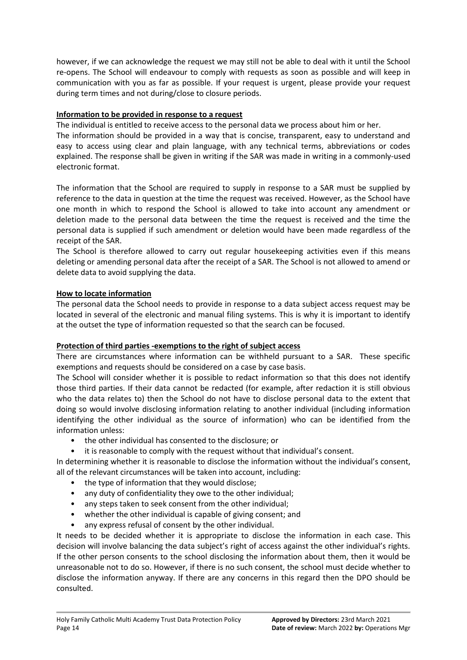however, if we can acknowledge the request we may still not be able to deal with it until the School re-opens. The School will endeavour to comply with requests as soon as possible and will keep in communication with you as far as possible. If your request is urgent, please provide your request during term times and not during/close to closure periods.

# **Information to be provided in response to a request**

The individual is entitled to receive access to the personal data we process about him or her.

The information should be provided in a way that is concise, transparent, easy to understand and easy to access using clear and plain language, with any technical terms, abbreviations or codes explained. The response shall be given in writing if the SAR was made in writing in a commonly-used electronic format.

The information that the School are required to supply in response to a SAR must be supplied by reference to the data in question at the time the request was received. However, as the School have one month in which to respond the School is allowed to take into account any amendment or deletion made to the personal data between the time the request is received and the time the personal data is supplied if such amendment or deletion would have been made regardless of the receipt of the SAR.

The School is therefore allowed to carry out regular housekeeping activities even if this means deleting or amending personal data after the receipt of a SAR. The School is not allowed to amend or delete data to avoid supplying the data.

# **How to locate information**

The personal data the School needs to provide in response to a data subject access request may be located in several of the electronic and manual filing systems. This is why it is important to identify at the outset the type of information requested so that the search can be focused.

# **Protection of third parties -exemptions to the right of subject access**

There are circumstances where information can be withheld pursuant to a SAR. These specific exemptions and requests should be considered on a case by case basis.

The School will consider whether it is possible to redact information so that this does not identify those third parties. If their data cannot be redacted (for example, after redaction it is still obvious who the data relates to) then the School do not have to disclose personal data to the extent that doing so would involve disclosing information relating to another individual (including information identifying the other individual as the source of information) who can be identified from the information unless:

- the other individual has consented to the disclosure; or
- it is reasonable to comply with the request without that individual's consent.

In determining whether it is reasonable to disclose the information without the individual's consent, all of the relevant circumstances will be taken into account, including:

- the type of information that they would disclose;
- any duty of confidentiality they owe to the other individual;
- any steps taken to seek consent from the other individual;
- whether the other individual is capable of giving consent; and
- any express refusal of consent by the other individual.

It needs to be decided whether it is appropriate to disclose the information in each case. This decision will involve balancing the data subject's right of access against the other individual's rights. If the other person consents to the school disclosing the information about them, then it would be unreasonable not to do so. However, if there is no such consent, the school must decide whether to disclose the information anyway. If there are any concerns in this regard then the DPO should be consulted.